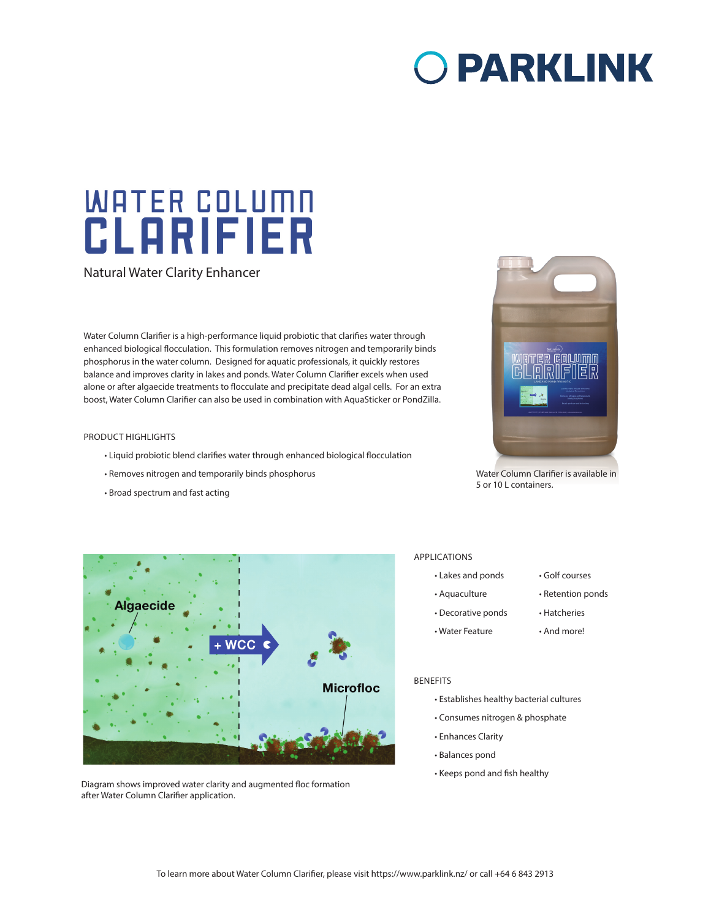# O PARKLINK

# **WATER COLUMN** CLARIFIER

Natural Water Clarity Enhancer

Water Column Clarifier is a high-performance liquid probiotic that clarifies water through enhanced biological flocculation. This formulation removes nitrogen and temporarily binds phosphorus in the water column. Designed for aquatic professionals, it quickly restores balance and improves clarity in lakes and ponds. Water Column Clarifier excels when used alone or after algaecide treatments to flocculate and precipitate dead algal cells. For an extra boost, Water Column Clarifier can also be used in combination with AquaSticker or PondZilla.

#### PRODUCT HIGHLIGHTS

- Liquid probiotic blend clarifies water through enhanced biological flocculation
- Removes nitrogen and temporarily binds phosphorus
- Broad spectrum and fast acting



Water Column Clarifier is available in 5 or 10 L containers.



Diagram shows improved water clarity and augmented floc formation after Water Column Clarifier application.

### APPLICATIONS

- Lakes and ponds Golf courses
- Aquaculture Retention ponds
- Decorative ponds Hatcheries
- Water Feature And more!
- 

#### BENEFITS

- Establishes healthy bacterial cultures
- Consumes nitrogen & phosphate
- Enhances Clarity
- Balances pond
- Keeps pond and fish healthy